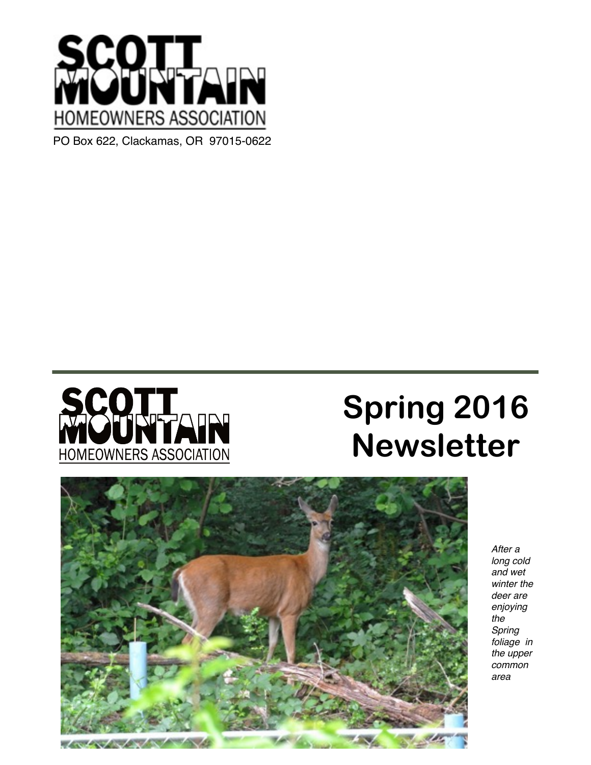



# **Spring 2016 Newsletter**



*After a long cold and wet winter the deer are enjoying the Spring foliage in the upper common area*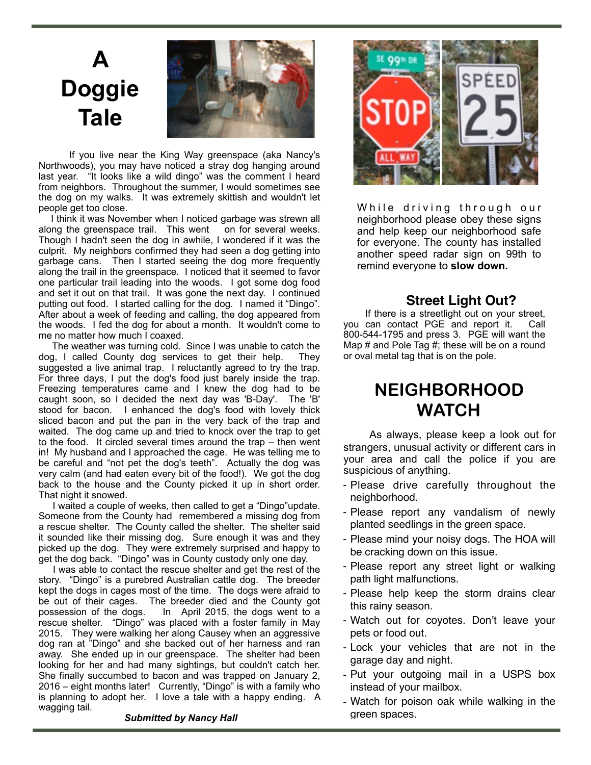## **A Doggie Tale**



 If you live near the King Way greenspace (aka Nancy's Northwoods), you may have noticed a stray dog hanging around last year. "It looks like a wild dingo" was the comment I heard from neighbors. Throughout the summer, I would sometimes see the dog on my walks. It was extremely skittish and wouldn't let people get too close.

 I think it was November when I noticed garbage was strewn all along the greenspace trail. This went on for several weeks. Though I hadn't seen the dog in awhile, I wondered if it was the culprit. My neighbors confirmed they had seen a dog getting into garbage cans. Then I started seeing the dog more frequently along the trail in the greenspace. I noticed that it seemed to favor one particular trail leading into the woods. I got some dog food and set it out on that trail. It was gone the next day. I continued putting out food. I started calling for the dog. I named it "Dingo". After about a week of feeding and calling, the dog appeared from the woods. I fed the dog for about a month. It wouldn't come to me no matter how much I coaxed.

 The weather was turning cold. Since I was unable to catch the dog, I called County dog services to get their help. They suggested a live animal trap. I reluctantly agreed to try the trap. For three days, I put the dog's food just barely inside the trap. Freezing temperatures came and I knew the dog had to be caught soon, so I decided the next day was 'B-Day'. The 'B' stood for bacon. I enhanced the dog's food with lovely thick sliced bacon and put the pan in the very back of the trap and waited. The dog came up and tried to knock over the trap to get to the food. It circled several times around the trap – then went in! My husband and I approached the cage. He was telling me to be careful and "not pet the dog's teeth". Actually the dog was very calm (and had eaten every bit of the food!). We got the dog back to the house and the County picked it up in short order. That night it snowed.

 I waited a couple of weeks, then called to get a "Dingo"update. Someone from the County had remembered a missing dog from a rescue shelter. The County called the shelter. The shelter said it sounded like their missing dog. Sure enough it was and they picked up the dog. They were extremely surprised and happy to get the dog back. "Dingo" was in County custody only one day.

 I was able to contact the rescue shelter and get the rest of the story. "Dingo" is a purebred Australian cattle dog. The breeder kept the dogs in cages most of the time. The dogs were afraid to be out of their cages. The breeder died and the County got possession of the dogs. In April 2015, the dogs went to a In April 2015, the dogs went to a rescue shelter. "Dingo" was placed with a foster family in May 2015. They were walking her along Causey when an aggressive dog ran at "Dingo" and she backed out of her harness and ran away. She ended up in our greenspace. The shelter had been looking for her and had many sightings, but couldn't catch her. She finally succumbed to bacon and was trapped on January 2, 2016 – eight months later! Currently, "Dingo" is with a family who is planning to adopt her. I love a tale with a happy ending. A wagging tail.

While driving through our neighborhood please obey these signs and help keep our neighborhood safe for everyone. The county has installed another speed radar sign on 99th to remind everyone to **slow down.**

#### **Street Light Out?**

If there is a streetlight out on your street, you can contact PGE and report it. Call 800-544-1795 and press 3. PGE will want the Map # and Pole Tag #; these will be on a round or oval metal tag that is on the pole.

### **NEIGHBORHOOD WATCH**

As always, please keep a look out for strangers, unusual activity or different cars in your area and call the police if you are suspicious of anything.

- Please drive carefully throughout the neighborhood.
- Please report any vandalism of newly planted seedlings in the green space.
- Please mind your noisy dogs. The HOA will be cracking down on this issue.
- Please report any street light or walking path light malfunctions.
- Please help keep the storm drains clear this rainy season.
- Watch out for coyotes. Don't leave your pets or food out.
- Lock your vehicles that are not in the garage day and night.
- Put your outgoing mail in a USPS box instead of your mailbox.
- Watch for poison oak while walking in the green spaces.

#### *Submitted by Nancy Hall*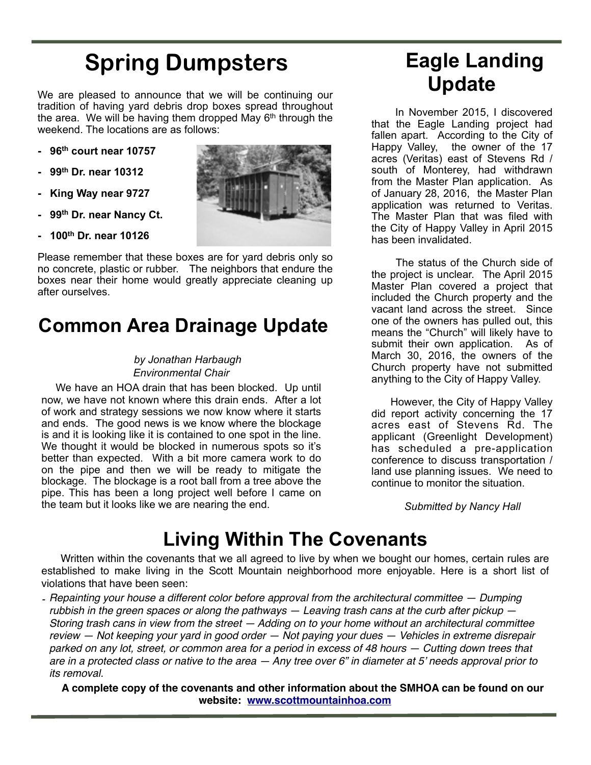## **Spring Dumpsters**

We are pleased to announce that we will be continuing our tradition of having yard debris drop boxes spread throughout the area. We will be having them dropped May  $6<sup>th</sup>$  through the weekend. The locations are as follows:

- **96th court near 10757**
- **99th Dr. near 10312**
- **King Way near 9727**
- **99th Dr. near Nancy Ct.**
- **100th Dr. near 10126**

Please remember that these boxes are for yard debris only so no concrete, plastic or rubber. The neighbors that endure the boxes near their home would greatly appreciate cleaning up after ourselves.

### **Common Area Drainage Update**

#### *by Jonathan Harbaugh Environmental Chair*

 We have an HOA drain that has been blocked. Up until now, we have not known where this drain ends. After a lot of work and strategy sessions we now know where it starts and ends. The good news is we know where the blockage is and it is looking like it is contained to one spot in the line. We thought it would be blocked in numerous spots so it's better than expected. With a bit more camera work to do on the pipe and then we will be ready to mitigate the blockage. The blockage is a root ball from a tree above the pipe. This has been a long project well before I came on the team but it looks like we are nearing the end.



## **Eagle Landing Update**

 In November 2015, I discovered that the Eagle Landing project had fallen apart. According to the City of Happy Valley, the owner of the 17 acres (Veritas) east of Stevens Rd / south of Monterey, had withdrawn from the Master Plan application. As of January 28, 2016, the Master Plan application was returned to Veritas. The Master Plan that was filed with the City of Happy Valley in April 2015 has been invalidated.

 The status of the Church side of the project is unclear. The April 2015 Master Plan covered a project that included the Church property and the vacant land across the street. Since one of the owners has pulled out, this means the "Church" will likely have to submit their own application. As of March 30, 2016, the owners of the Church property have not submitted anything to the City of Happy Valley.

 However, the City of Happy Valley did report activity concerning the 17 acres east of Stevens Rd. The applicant (Greenlight Development) has scheduled a pre-application conference to discuss transportation / land use planning issues. We need to continue to monitor the situation.

*Submitted by Nancy Hall* 

### **Living Within The Covenants**

 Written within the covenants that we all agreed to live by when we bought our homes, certain rules are established to make living in the Scott Mountain neighborhood more enjoyable. Here is a short list of violations that have been seen:

*- Repainting your house a different color before approval from the architectural committee — Dumping rubbish in the green spaces or along the pathways — Leaving trash cans at the curb after pickup — Storing trash cans in view from the street — Adding on to your home without an architectural committee review — Not keeping your yard in good order — Not paying your dues — Vehicles in extreme disrepair parked on any lot, street, or common area for a period in excess of 48 hours — Cutting down trees that are in a protected class or native to the area — Any tree over 6" in diameter at 5' needs approval prior to its removal.*

 **A complete copy of the covenants and other information about the SMHOA can be found on our website: [www.scottmountainhoa.com](http://www.scottmountainhoa.com)**